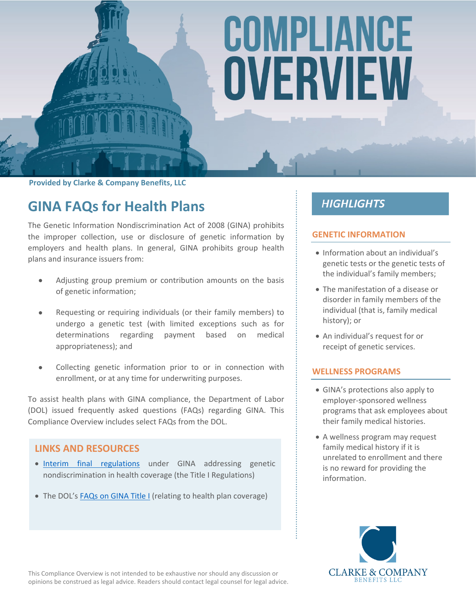# COMPLIANCE OVERVIEW

**Provided by Clarke & Company Benefits, LLC**

# **GINA FAQs for Health Plans**

The Genetic Information Nondiscrimination Act of 2008 (GINA) prohibits the improper collection, use or disclosure of genetic information by employers and health plans. In general, GINA prohibits group health plans and insurance issuers from:

- Adjusting group premium or contribution amounts on the basis of genetic information;
- Requesting or requiring individuals (or their family members) to undergo a genetic test (with limited exceptions such as for determinations regarding payment based on medical appropriateness); and
- Collecting genetic information prior to or in connection with enrollment, or at any time for underwriting purposes.

To assist health plans with GINA compliance, the Department of Labor (DOL) issued frequently asked questions (FAQs) regarding GINA. This Compliance Overview includes select FAQs from the DOL.

# **LINKS AND RESOURCES**

- . [Interim final regulations](http://www.gpo.gov/fdsys/pkg/FR-2009-10-07/pdf/E9-22504.pdf) under GINA addressing genetic nondiscrimination in health coverage (the Title I Regulations)
- The DOL's [FAQs on GINA Title I](https://www.dol.gov/sites/default/files/ebsa/about-ebsa/our-activities/resource-center/faqs/gina.pdf) (relating to health plan coverage)

# **HIGHLIGHTS**

#### **GENETIC INFORMATION**

- Information about an individual's genetic tests or the genetic tests of the individual's family members;
- The manifestation of a disease or disorder in family members of the individual (that is, family medical history); or
- An individual's request for or receipt of genetic services.

#### **WELLNESS PROGRAMS**

- GINA's protections also apply to employer-sponsored wellness programs that ask employees about their family medical histories.
- A wellness program may request family medical history if it is unrelated to enrollment and there is no reward for providing the information.



This Compliance Overview is not intended to be exhaustive nor should any discussion or opinions be construed as legal advice. Readers should contact legal counsel for legal advice.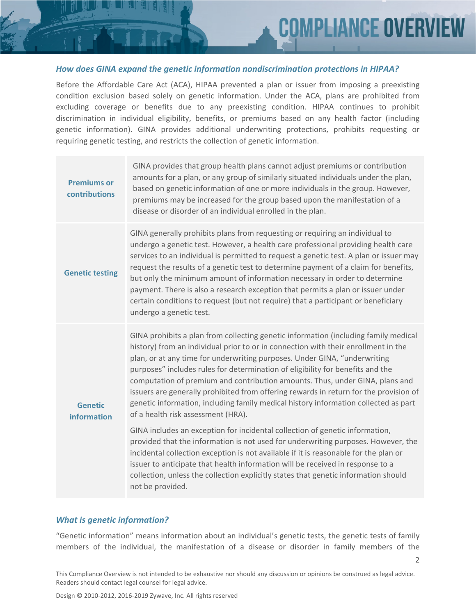2

#### *How does GINA expand the genetic information nondiscrimination protections in HIPAA?*

Before the Affordable Care Act (ACA), HIPAA prevented a plan or issuer from imposing a preexisting condition exclusion based solely on genetic information. Under the ACA, plans are prohibited from excluding coverage or benefits due to any preexisting condition. HIPAA continues to prohibit discrimination in individual eligibility, benefits, or premiums based on any health factor (including genetic information). GINA provides additional underwriting protections, prohibits requesting or requiring genetic testing, and restricts the collection of genetic information.

| <b>Premiums or</b><br>contributions | GINA provides that group health plans cannot adjust premiums or contribution<br>amounts for a plan, or any group of similarly situated individuals under the plan,<br>based on genetic information of one or more individuals in the group. However,<br>premiums may be increased for the group based upon the manifestation of a<br>disease or disorder of an individual enrolled in the plan.                                                                                                                                                                                                                                                |
|-------------------------------------|------------------------------------------------------------------------------------------------------------------------------------------------------------------------------------------------------------------------------------------------------------------------------------------------------------------------------------------------------------------------------------------------------------------------------------------------------------------------------------------------------------------------------------------------------------------------------------------------------------------------------------------------|
| <b>Genetic testing</b>              | GINA generally prohibits plans from requesting or requiring an individual to<br>undergo a genetic test. However, a health care professional providing health care<br>services to an individual is permitted to request a genetic test. A plan or issuer may<br>request the results of a genetic test to determine payment of a claim for benefits,<br>but only the minimum amount of information necessary in order to determine<br>payment. There is also a research exception that permits a plan or issuer under<br>certain conditions to request (but not require) that a participant or beneficiary<br>undergo a genetic test.            |
| <b>Genetic</b><br>information       | GINA prohibits a plan from collecting genetic information (including family medical<br>history) from an individual prior to or in connection with their enrollment in the<br>plan, or at any time for underwriting purposes. Under GINA, "underwriting<br>purposes" includes rules for determination of eligibility for benefits and the<br>computation of premium and contribution amounts. Thus, under GINA, plans and<br>issuers are generally prohibited from offering rewards in return for the provision of<br>genetic information, including family medical history information collected as part<br>of a health risk assessment (HRA). |
|                                     | GINA includes an exception for incidental collection of genetic information,<br>provided that the information is not used for underwriting purposes. However, the<br>incidental collection exception is not available if it is reasonable for the plan or<br>issuer to anticipate that health information will be received in response to a<br>collection, unless the collection explicitly states that genetic information should<br>not be provided.                                                                                                                                                                                         |

#### *What is genetic information?*

"Genetic information" means information about an individual's genetic tests, the genetic tests of family members of the individual, the manifestation of a disease or disorder in family members of the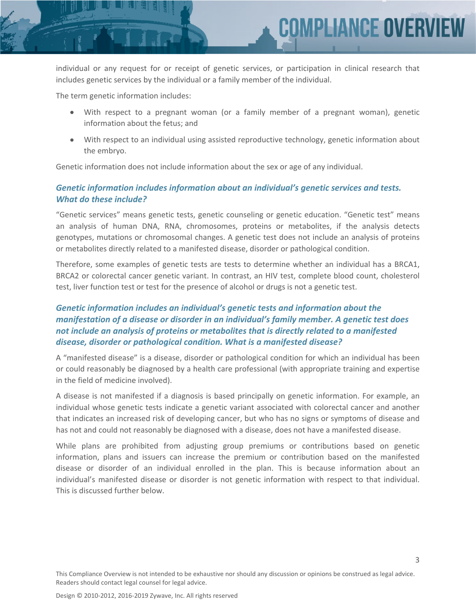

individual or any request for or receipt of genetic services, or participation in clinical research that includes genetic services by the individual or a family member of the individual.

The term genetic information includes:

- With respect to a pregnant woman (or a family member of a pregnant woman), genetic information about the fetus; and
- With respect to an individual using assisted reproductive technology, genetic information about the embryo.

Genetic information does not include information about the sex or age of any individual.

#### *Genetic information includes information about an individual's genetic services and tests. What do these include?*

"Genetic services" means genetic tests, genetic counseling or genetic education. "Genetic test" means an analysis of human DNA, RNA, chromosomes, proteins or metabolites, if the analysis detects genotypes, mutations or chromosomal changes. A genetic test does not include an analysis of proteins or metabolites directly related to a manifested disease, disorder or pathological condition.

Therefore, some examples of genetic tests are tests to determine whether an individual has a BRCA1, BRCA2 or colorectal cancer genetic variant. In contrast, an HIV test, complete blood count, cholesterol test, liver function test or test for the presence of alcohol or drugs is not a genetic test.

## *Genetic information includes an individual's genetic tests and information about the manifestation of a disease or disorder in an individual's family member. A genetic test does not include an analysis of proteins or metabolites that is directly related to a manifested disease, disorder or pathological condition. What is a manifested disease?*

A "manifested disease" is a disease, disorder or pathological condition for which an individual has been or could reasonably be diagnosed by a health care professional (with appropriate training and expertise in the field of medicine involved).

A disease is not manifested if a diagnosis is based principally on genetic information. For example, an individual whose genetic tests indicate a genetic variant associated with colorectal cancer and another that indicates an increased risk of developing cancer, but who has no signs or symptoms of disease and has not and could not reasonably be diagnosed with a disease, does not have a manifested disease.

While plans are prohibited from adjusting group premiums or contributions based on genetic information, plans and issuers can increase the premium or contribution based on the manifested disease or disorder of an individual enrolled in the plan. This is because information about an individual's manifested disease or disorder is not genetic information with respect to that individual. This is discussed further below.

3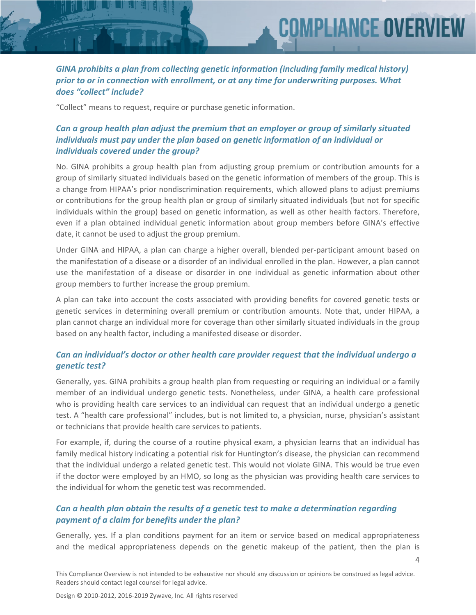#### *GINA prohibits a plan from collecting genetic information (including family medical history) prior to or in connection with enrollment, or at any time for underwriting purposes. What does "collect" include?*

**MPLIANCE OVER** 

"Collect" means to request, require or purchase genetic information.

# *Can a group health plan adjust the premium that an employer or group of similarly situated individuals must pay under the plan based on genetic information of an individual or individuals covered under the group?*

No. GINA prohibits a group health plan from adjusting group premium or contribution amounts for a group of similarly situated individuals based on the genetic information of members of the group. This is a change from HIPAA's prior nondiscrimination requirements, which allowed plans to adjust premiums or contributions for the group health plan or group of similarly situated individuals (but not for specific individuals within the group) based on genetic information, as well as other health factors. Therefore, even if a plan obtained individual genetic information about group members before GINA's effective date, it cannot be used to adjust the group premium.

Under GINA and HIPAA, a plan can charge a higher overall, blended per-participant amount based on the manifestation of a disease or a disorder of an individual enrolled in the plan. However, a plan cannot use the manifestation of a disease or disorder in one individual as genetic information about other group members to further increase the group premium.

A plan can take into account the costs associated with providing benefits for covered genetic tests or genetic services in determining overall premium or contribution amounts. Note that, under HIPAA, a plan cannot charge an individual more for coverage than other similarly situated individuals in the group based on any health factor, including a manifested disease or disorder.

#### *Can an individual's doctor or other health care provider request that the individual undergo a genetic test?*

Generally, yes. GINA prohibits a group health plan from requesting or requiring an individual or a family member of an individual undergo genetic tests. Nonetheless, under GINA, a health care professional who is providing health care services to an individual can request that an individual undergo a genetic test. A "health care professional" includes, but is not limited to, a physician, nurse, physician's assistant or technicians that provide health care services to patients.

For example, if, during the course of a routine physical exam, a physician learns that an individual has family medical history indicating a potential risk for Huntington's disease, the physician can recommend that the individual undergo a related genetic test. This would not violate GINA. This would be true even if the doctor were employed by an HMO, so long as the physician was providing health care services to the individual for whom the genetic test was recommended.

#### *Can a health plan obtain the results of a genetic test to make a determination regarding payment of a claim for benefits under the plan?*

Generally, yes. If a plan conditions payment for an item or service based on medical appropriateness and the medical appropriateness depends on the genetic makeup of the patient, then the plan is

 $\Delta$ 

This Compliance Overview is not intended to be exhaustive nor should any discussion or opinions be construed as legal advice. Readers should contact legal counsel for legal advice.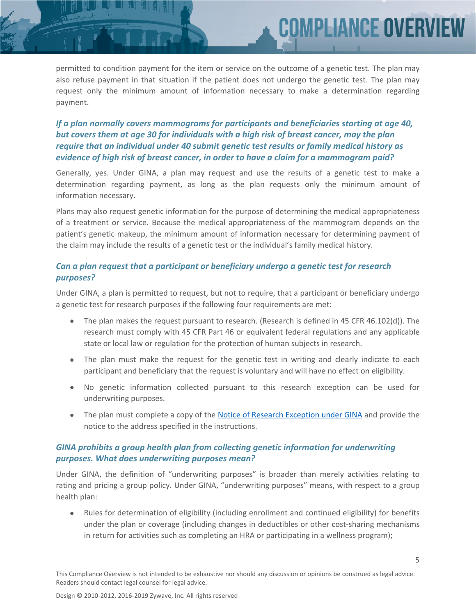permitted to condition payment for the item or service on the outcome of a genetic test. The plan may also refuse payment in that situation if the patient does not undergo the genetic test. The plan may request only the minimum amount of information necessary to make a determination regarding payment.

COMPLIANCE OVER

## *If a plan normally covers mammograms for participants and beneficiaries starting at age 40, but covers them at age 30 for individuals with a high risk of breast cancer, may the plan require that an individual under 40 submit genetic test results or family medical history as evidence of high risk of breast cancer, in order to have a claim for a mammogram paid?*

Generally, yes. Under GINA, a plan may request and use the results of a genetic test to make a determination regarding payment, as long as the plan requests only the minimum amount of information necessary.

Plans may also request genetic information for the purpose of determining the medical appropriateness of a treatment or service. Because the medical appropriateness of the mammogram depends on the patient's genetic makeup, the minimum amount of information necessary for determining payment of the claim may include the results of a genetic test or the individual's family medical history.

## *Can a plan request that a participant or beneficiary undergo a genetic test for research purposes?*

Under GINA, a plan is permitted to request, but not to require, that a participant or beneficiary undergo a genetic test for research purposes if the following four requirements are met:

- The plan makes the request pursuant to research. (Research is defined in 45 CFR 46.102(d)). The research must comply with 45 CFR Part 46 or equivalent federal regulations and any applicable state or local law or regulation for the protection of human subjects in research.
- The plan must make the request for the genetic test in writing and clearly indicate to each participant and beneficiary that the request is voluntary and will have no effect on eligibility.
- No genetic information collected pursuant to this research exception can be used for underwriting purposes.
- The plan must complete a copy of the [Notice of Research Exception under GINA](https://www.dol.gov/agencies/ebsa/employers-and-advisers/plan-administration-and-compliance/health-plans/notice-of-research-exception-under-gina) and provide the notice to the address specified in the instructions.

#### *GINA prohibits a group health plan from collecting genetic information for underwriting purposes. What does underwriting purposes mean?*

Under GINA, the definition of "underwriting purposes" is broader than merely activities relating to rating and pricing a group policy. Under GINA, "underwriting purposes" means, with respect to a group health plan:

 Rules for determination of eligibility (including enrollment and continued eligibility) for benefits under the plan or coverage (including changes in deductibles or other cost-sharing mechanisms in return for activities such as completing an HRA or participating in a wellness program);

5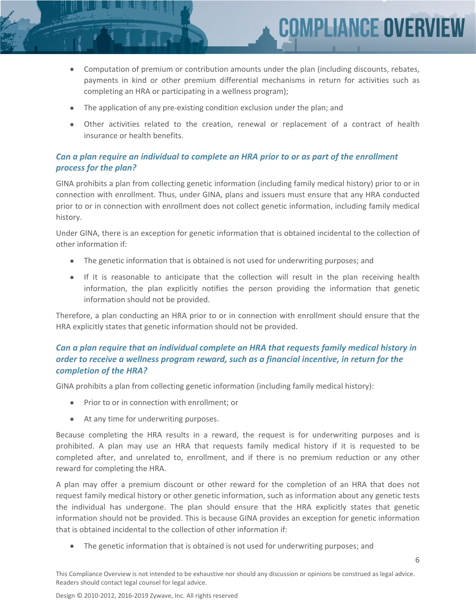

COMPLIANCE OVERV

- The application of any pre-existing condition exclusion under the plan; and
- Other activities related to the creation, renewal or replacement of a contract of health insurance or health benefits.

#### *Can a plan require an individual to complete an HRA prior to or as part of the enrollment process for the plan?*

GINA prohibits a plan from collecting genetic information (including family medical history) prior to or in connection with enrollment. Thus, under GINA, plans and issuers must ensure that any HRA conducted prior to or in connection with enrollment does not collect genetic information, including family medical history.

Under GINA, there is an exception for genetic information that is obtained incidental to the collection of other information if:

- The genetic information that is obtained is not used for underwriting purposes; and
- If it is reasonable to anticipate that the collection will result in the plan receiving health information, the plan explicitly notifies the person providing the information that genetic information should not be provided.

Therefore, a plan conducting an HRA prior to or in connection with enrollment should ensure that the HRA explicitly states that genetic information should not be provided.

## *Can a plan require that an individual complete an HRA that requests family medical history in order to receive a wellness program reward, such as a financial incentive, in return for the completion of the HRA?*

GINA prohibits a plan from collecting genetic information (including family medical history):

- Prior to or in connection with enrollment; or
- At any time for underwriting purposes.

Because completing the HRA results in a reward, the request is for underwriting purposes and is prohibited. A plan may use an HRA that requests family medical history if it is requested to be completed after, and unrelated to, enrollment, and if there is no premium reduction or any other reward for completing the HRA.

A plan may offer a premium discount or other reward for the completion of an HRA that does not request family medical history or other genetic information, such as information about any genetic tests the individual has undergone. The plan should ensure that the HRA explicitly states that genetic information should not be provided. This is because GINA provides an exception for genetic information that is obtained incidental to the collection of other information if:

• The genetic information that is obtained is not used for underwriting purposes; and

6